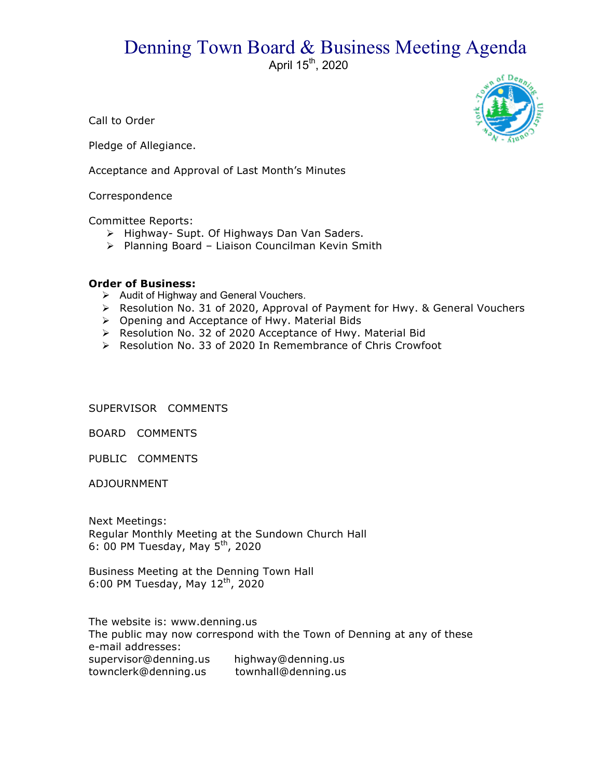## Denning Town Board & Business Meeting Agenda

April 15<sup>th</sup>, 2020

Call to Order

Pledge of Allegiance.

Acceptance and Approval of Last Month's Minutes

**Correspondence** 

Committee Reports:

- > Highway- Supt. Of Highways Dan Van Saders.
- > Planning Board Liaison Councilman Kevin Smith

## **Order of Business:**

- $\triangleright$  Audit of Highway and General Vouchers.
- > Resolution No. 31 of 2020, Approval of Payment for Hwy. & General Vouchers
- $\triangleright$  Opening and Acceptance of Hwy. Material Bids
- ▶ Resolution No. 32 of 2020 Acceptance of Hwy. Material Bid
- ▶ Resolution No. 33 of 2020 In Remembrance of Chris Crowfoot

SUPERVISOR COMMENTS

BOARD COMMENTS

PUBLIC COMMENTS

ADJOURNMENT

Next Meetings: Regular Monthly Meeting at the Sundown Church Hall 6: 00 PM Tuesday, May  $5^{th}$ , 2020

Business Meeting at the Denning Town Hall 6:00 PM Tuesday, May  $12^{th}$ , 2020

The website is: www.denning.us The public may now correspond with the Town of Denning at any of these e-mail addresses: supervisor@denning.us highway@denning.us townclerk@denning.us townhall@denning.us

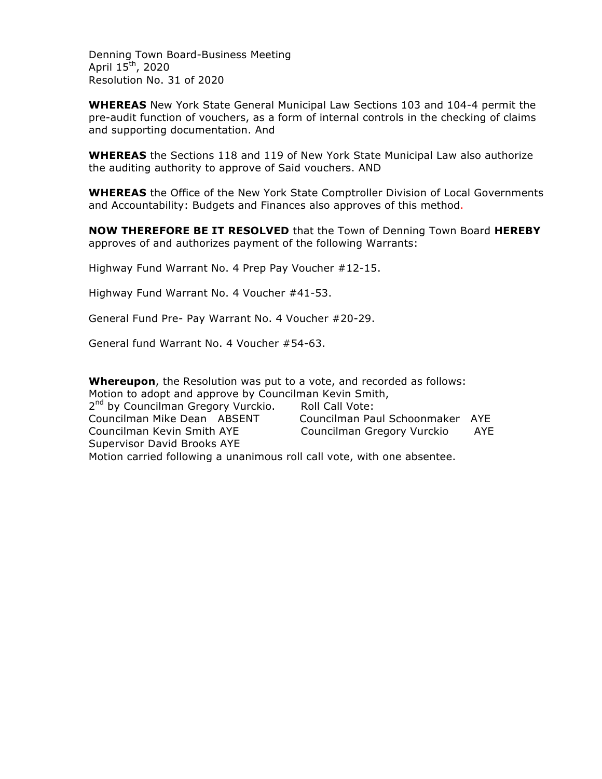Denning Town Board-Business Meeting April  $15^{th}$ , 2020 Resolution No. 31 of 2020

**WHEREAS** New York State General Municipal Law Sections 103 and 104-4 permit the pre-audit function of vouchers, as a form of internal controls in the checking of claims and supporting documentation. And

**WHEREAS** the Sections 118 and 119 of New York State Municipal Law also authorize the auditing authority to approve of Said vouchers. AND

**WHEREAS** the Office of the New York State Comptroller Division of Local Governments and Accountability: Budgets and Finances also approves of this method.

**NOW THEREFORE BE IT RESOLVED** that the Town of Denning Town Board **HEREBY** approves of and authorizes payment of the following Warrants:

Highway Fund Warrant No. 4 Prep Pay Voucher #12-15.

Highway Fund Warrant No. 4 Voucher #41-53.

General Fund Pre- Pay Warrant No. 4 Voucher #20-29.

General fund Warrant No. 4 Voucher #54-63.

**Whereupon**, the Resolution was put to a vote, and recorded as follows: Motion to adopt and approve by Councilman Kevin Smith, 2<sup>nd</sup> by Councilman Gregory Vurckio. Roll Call Vote: Councilman Mike Dean ABSENT Councilman Paul Schoonmaker AYE Councilman Kevin Smith AYE Councilman Gregory Vurckio AYE Supervisor David Brooks AYE

Motion carried following a unanimous roll call vote, with one absentee.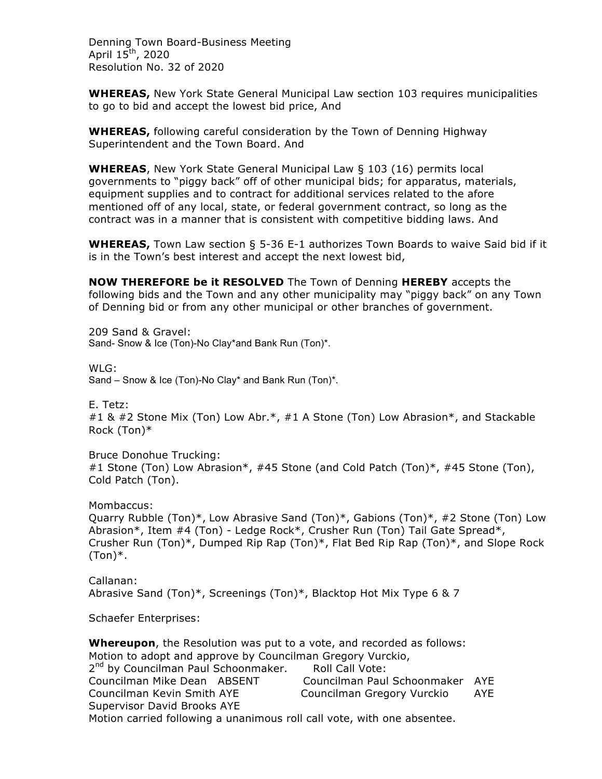Denning Town Board-Business Meeting April  $15^{\text{th}}$ , 2020 Resolution No. 32 of 2020

**WHEREAS,** New York State General Municipal Law section 103 requires municipalities to go to bid and accept the lowest bid price, And

**WHEREAS,** following careful consideration by the Town of Denning Highway Superintendent and the Town Board. And

**WHEREAS**, New York State General Municipal Law § 103 (16) permits local governments to "piggy back" off of other municipal bids; for apparatus, materials, equipment supplies and to contract for additional services related to the afore mentioned off of any local, state, or federal government contract, so long as the contract was in a manner that is consistent with competitive bidding laws. And

**WHEREAS,** Town Law section § 5-36 E-1 authorizes Town Boards to waive Said bid if it is in the Town's best interest and accept the next lowest bid,

**NOW THEREFORE be it RESOLVED** The Town of Denning **HEREBY** accepts the following bids and the Town and any other municipality may "piggy back" on any Town of Denning bid or from any other municipal or other branches of government.

209 Sand & Gravel: Sand- Snow & Ice (Ton)-No Clay\*and Bank Run (Ton)\*.

WLG:

Sand – Snow & Ice (Ton)-No Clay\* and Bank Run (Ton)\*.

E. Tetz:

#1 & #2 Stone Mix (Ton) Low Abr.\*, #1 A Stone (Ton) Low Abrasion\*, and Stackable Rock (Ton)\*

Bruce Donohue Trucking: #1 Stone (Ton) Low Abrasion\*, #45 Stone (and Cold Patch (Ton)\*, #45 Stone (Ton), Cold Patch (Ton).

Mombaccus: Quarry Rubble (Ton)\*, Low Abrasive Sand (Ton)\*, Gabions (Ton)\*, #2 Stone (Ton) Low Abrasion\*, Item #4 (Ton) - Ledge Rock\*, Crusher Run (Ton) Tail Gate Spread\*, Crusher Run (Ton)\*, Dumped Rip Rap (Ton)\*, Flat Bed Rip Rap (Ton)\*, and Slope Rock  $(Ton)*$ .

Callanan: Abrasive Sand (Ton)\*, Screenings (Ton)\*, Blacktop Hot Mix Type 6 & 7

Schaefer Enterprises:

**Whereupon**, the Resolution was put to a vote, and recorded as follows: Motion to adopt and approve by Councilman Gregory Vurckio, 2<sup>nd</sup> by Councilman Paul Schoonmaker. Roll Call Vote: Councilman Mike Dean ABSENT Councilman Paul Schoonmaker AYE Councilman Kevin Smith AYE Councilman Gregory Vurckio AYE Supervisor David Brooks AYE Motion carried following a unanimous roll call vote, with one absentee.